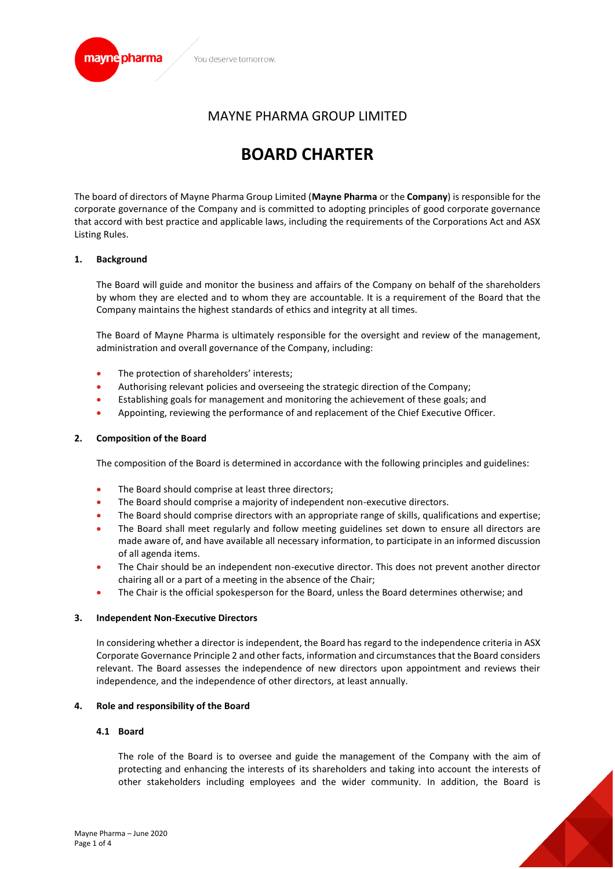

# MAYNE PHARMA GROUP LIMITED

# **BOARD CHARTER**

The board of directors of Mayne Pharma Group Limited (**Mayne Pharma** or the **Company**) is responsible for the corporate governance of the Company and is committed to adopting principles of good corporate governance that accord with best practice and applicable laws, including the requirements of the Corporations Act and ASX Listing Rules.

#### **1. Background**

The Board will guide and monitor the business and affairs of the Company on behalf of the shareholders by whom they are elected and to whom they are accountable. It is a requirement of the Board that the Company maintains the highest standards of ethics and integrity at all times.

The Board of Mayne Pharma is ultimately responsible for the oversight and review of the management, administration and overall governance of the Company, including:

- The protection of shareholders' interests;
- Authorising relevant policies and overseeing the strategic direction of the Company;
- Establishing goals for management and monitoring the achievement of these goals; and
- Appointing, reviewing the performance of and replacement of the Chief Executive Officer.

#### **2. Composition of the Board**

The composition of the Board is determined in accordance with the following principles and guidelines:

- The Board should comprise at least three directors;
- The Board should comprise a majority of independent non-executive directors.
- The Board should comprise directors with an appropriate range of skills, qualifications and expertise;
- The Board shall meet regularly and follow meeting guidelines set down to ensure all directors are made aware of, and have available all necessary information, to participate in an informed discussion of all agenda items.
- The Chair should be an independent non-executive director. This does not prevent another director chairing all or a part of a meeting in the absence of the Chair;
- The Chair is the official spokesperson for the Board, unless the Board determines otherwise; and

#### **3. Independent Non-Executive Directors**

In considering whether a director is independent, the Board has regard to the independence criteria in ASX Corporate Governance Principle 2 and other facts, information and circumstances that the Board considers relevant. The Board assesses the independence of new directors upon appointment and reviews their independence, and the independence of other directors, at least annually.

#### **4. Role and responsibility of the Board**

#### **4.1 Board**

The role of the Board is to oversee and guide the management of the Company with the aim of protecting and enhancing the interests of its shareholders and taking into account the interests of other stakeholders including employees and the wider community. In addition, the Board is

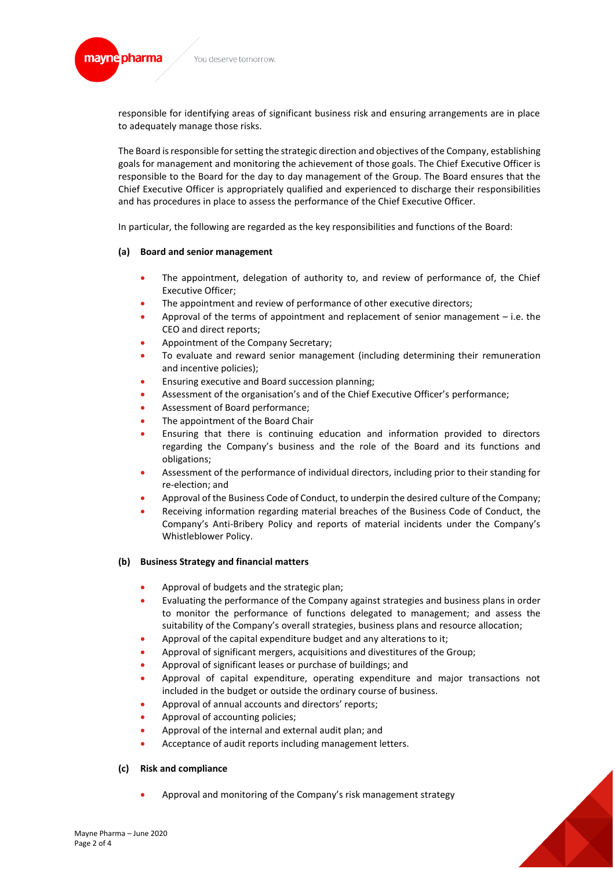

responsible for identifying areas of significant business risk and ensuring arrangements are in place to adequately manage those risks.

The Board is responsible for setting the strategic direction and objectives of the Company, establishing goals for management and monitoring the achievement of those goals. The Chief Executive Officer is responsible to the Board for the day to day management of the Group. The Board ensures that the Chief Executive Officer is appropriately qualified and experienced to discharge their responsibilities and has procedures in place to assess the performance of the Chief Executive Officer.

In particular, the following are regarded as the key responsibilities and functions of the Board:

# **(a) Board and senior management**

- The appointment, delegation of authority to, and review of performance of, the Chief Executive Officer;
- The appointment and review of performance of other executive directors;
- Approval of the terms of appointment and replacement of senior management  $-$  i.e. the CEO and direct reports;
- Appointment of the Company Secretary;
- To evaluate and reward senior management (including determining their remuneration and incentive policies);
- Ensuring executive and Board succession planning;
- Assessment of the organisation's and of the Chief Executive Officer's performance;
- Assessment of Board performance;
- The appointment of the Board Chair
- Ensuring that there is continuing education and information provided to directors regarding the Company's business and the role of the Board and its functions and obligations;
- Assessment of the performance of individual directors, including prior to their standing for re-election; and
- Approval of the Business Code of Conduct, to underpin the desired culture of the Company;
- Receiving information regarding material breaches of the Business Code of Conduct, the Company's Anti-Bribery Policy and reports of material incidents under the Company's Whistleblower Policy.

# **(b) Business Strategy and financial matters**

- Approval of budgets and the strategic plan;
- Evaluating the performance of the Company against strategies and business plans in order to monitor the performance of functions delegated to management; and assess the suitability of the Company's overall strategies, business plans and resource allocation;
- Approval of the capital expenditure budget and any alterations to it;
- Approval of significant mergers, acquisitions and divestitures of the Group;
- Approval of significant leases or purchase of buildings; and
- Approval of capital expenditure, operating expenditure and major transactions not included in the budget or outside the ordinary course of business.
- Approval of annual accounts and directors' reports;
- Approval of accounting policies;
- Approval of the internal and external audit plan; and
- Acceptance of audit reports including management letters.

# **(c) Risk and compliance**

• Approval and monitoring of the Company's risk management strategy

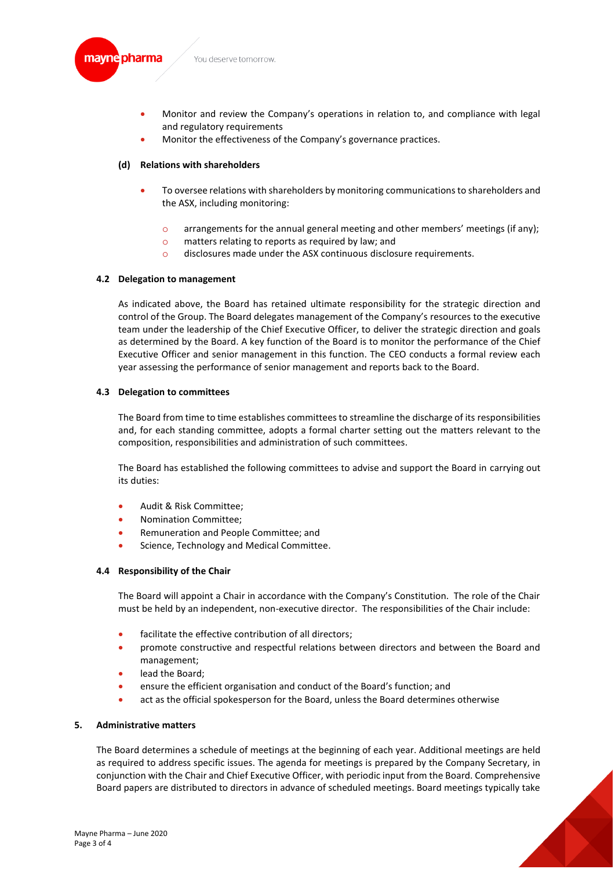

- Monitor and review the Company's operations in relation to, and compliance with legal and regulatory requirements
- Monitor the effectiveness of the Company's governance practices.

# **(d) Relations with shareholders**

- To oversee relations with shareholders by monitoring communications to shareholders and the ASX, including monitoring:
	- $\circ$  arrangements for the annual general meeting and other members' meetings (if any);
	- o matters relating to reports as required by law; and
	- o disclosures made under the ASX continuous disclosure requirements.

# **4.2 Delegation to management**

As indicated above, the Board has retained ultimate responsibility for the strategic direction and control of the Group. The Board delegates management of the Company's resources to the executive team under the leadership of the Chief Executive Officer, to deliver the strategic direction and goals as determined by the Board. A key function of the Board is to monitor the performance of the Chief Executive Officer and senior management in this function. The CEO conducts a formal review each year assessing the performance of senior management and reports back to the Board.

# **4.3 Delegation to committees**

The Board from time to time establishes committees to streamline the discharge of its responsibilities and, for each standing committee, adopts a formal charter setting out the matters relevant to the composition, responsibilities and administration of such committees.

The Board has established the following committees to advise and support the Board in carrying out its duties:

- Audit & Risk Committee;
- Nomination Committee;
- Remuneration and People Committee; and
- Science, Technology and Medical Committee.

# **4.4 Responsibility of the Chair**

The Board will appoint a Chair in accordance with the Company's Constitution. The role of the Chair must be held by an independent, non-executive director. The responsibilities of the Chair include:

- facilitate the effective contribution of all directors:
- promote constructive and respectful relations between directors and between the Board and management;
- lead the Board;
- ensure the efficient organisation and conduct of the Board's function; and
- act as the official spokesperson for the Board, unless the Board determines otherwise

# **5. Administrative matters**

The Board determines a schedule of meetings at the beginning of each year. Additional meetings are held as required to address specific issues. The agenda for meetings is prepared by the Company Secretary, in conjunction with the Chair and Chief Executive Officer, with periodic input from the Board. Comprehensive Board papers are distributed to directors in advance of scheduled meetings. Board meetings typically take